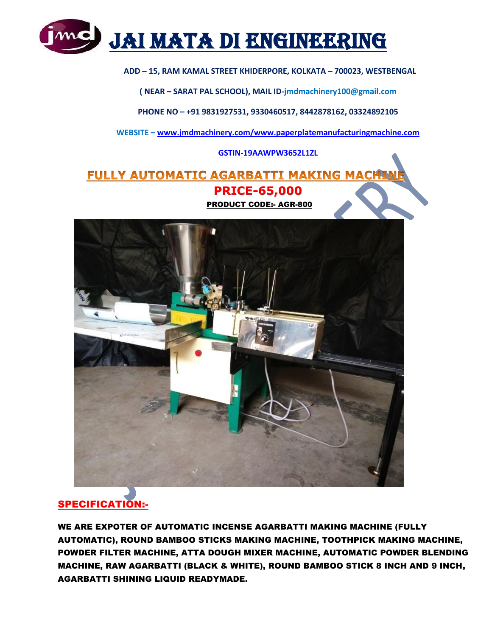

### **ADD – 15, RAM KAMAL STREET KHIDERPORE, KOLKATA – 700023, WESTBENGAL**

**( NEAR – SARAT PAL SCHOOL), MAIL ID-jmdmachinery100@gmail.com**

**PHONE NO – +91 9831927531, 9330460517, 8442878162, 03324892105**

**WEBSITE – [www.jmdmachinery.com/www.paperplatemanufacturingmachine.com](http://www.jmdmachinery.com/www.paperplatemanufacturingmachine.com)**

#### **GSTIN-19AAWPW3652L1ZL**

FULLY AUTOMATIC AGARBATTI MAKING MACHI  **PRICE-65,000** PRODUCT CODE:- AGR-800



## SPECIFICATION:-

WE ARE EXPOTER OF AUTOMATIC INCENSE AGARBATTI MAKING MACHINE (FULLY AUTOMATIC), ROUND BAMBOO STICKS MAKING MACHINE, TOOTHPICK MAKING MACHINE, POWDER FILTER MACHINE, ATTA DOUGH MIXER MACHINE, AUTOMATIC POWDER BLENDING MACHINE, RAW AGARBATTI (BLACK & WHITE), ROUND BAMBOO STICK 8 INCH AND 9 INCH, AGARBATTI SHINING LIQUID READYMADE.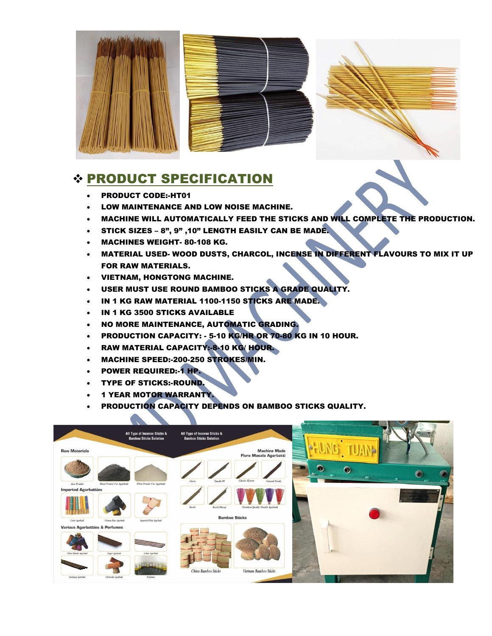



# PRODUCT SPECIFICATION

- PRODUCT CODE:-HT01
- LOW MAINTENANCE AND LOW NOISE MACHINE.
- . MACHINE WILL AUTOMATICALLY FEED THE STICKS AND WILL COMPLETE THE PRODUCTION.
- STICK SIZES 8", 9" ,10" LENGTH EASILY CAN BE MADE.
- MACHINES WEIGHT- 80-108 KG.
- MATERIAL USED- WOOD DUSTS, CHARCOL, INCENSE IN DIFFERENT FLAVOURS TO MIX IT UP FOR RAW MATERIALS.
- VIETNAM, HONGTONG MACHINE.
- USER MUST USE ROUND BAMBOO STICKS A GRADE QUALITY.
- IN 1 KG RAW MATERIAL 1100-1150 STICKS ARE MADE.
- IN 1 KG 3500 STICKS AVAILABLE
- . NO MORE MAINTENANCE, AUTOMATIC GRADING.
- PRODUCTION CAPACITY: 5-10 KG/HR OR 70-80 KG IN 10 HOUR.
- **RAW MATERIAL CAPACITY:-8-10 KG/ HOUR.**
- MACHINE SPEED:-200-250 STROKES/MIN.
- **POWER REQUIRED:-1 HP.**
- TYPE OF STICKS:-ROUND.
- 1 YEAR MOTOR WARRANTY.
- PRODUCTION CAPACITY DEPENDS ON BAMBOO STICKS QUALITY.